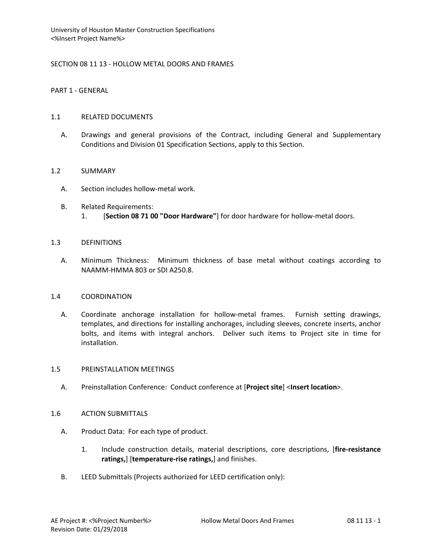# SECTION 08 11 13 - HOLLOW METAL DOORS AND FRAMES

PART 1 - GENERAL

### 1.1 RELATED DOCUMENTS

A. Drawings and general provisions of the Contract, including General and Supplementary Conditions and Division 01 Specification Sections, apply to this Section.

## 1.2 SUMMARY

- A. Section includes hollow-metal work.
- B. Related Requirements: 1. [**Section 08 71 00 "Door Hardware"**] for door hardware for hollow-metal doors.

### 1.3 DEFINITIONS

A. Minimum Thickness: Minimum thickness of base metal without coatings according to NAAMM-HMMA 803 or SDI A250.8.

### 1.4 COORDINATION

A. Coordinate anchorage installation for hollow-metal frames. Furnish setting drawings, templates, and directions for installing anchorages, including sleeves, concrete inserts, anchor bolts, and items with integral anchors. Deliver such items to Project site in time for installation.

### 1.5 PREINSTALLATION MEETINGS

A. Preinstallation Conference: Conduct conference at [**Project site**] <**Insert location**>.

### 1.6 ACTION SUBMITTALS

- A. Product Data: For each type of product.
	- 1. Include construction details, material descriptions, core descriptions, [**fire-resistance ratings,**] [**temperature-rise ratings,**] and finishes.
- B. LEED Submittals (Projects authorized for LEED certification only):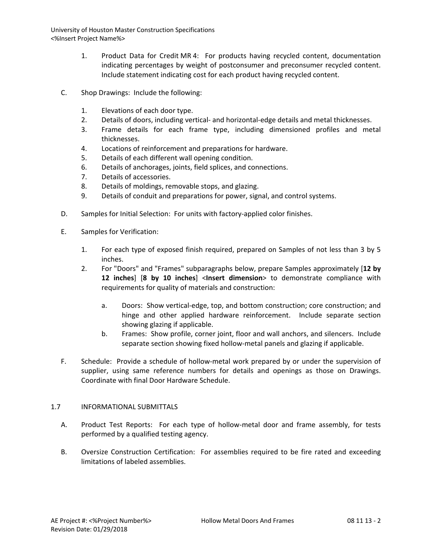- 1. Product Data for Credit MR 4: For products having recycled content, documentation indicating percentages by weight of postconsumer and preconsumer recycled content. Include statement indicating cost for each product having recycled content.
- C. Shop Drawings: Include the following:
	- 1. Elevations of each door type.
	- 2. Details of doors, including vertical- and horizontal-edge details and metal thicknesses.
	- 3. Frame details for each frame type, including dimensioned profiles and metal thicknesses.
	- 4. Locations of reinforcement and preparations for hardware.
	- 5. Details of each different wall opening condition.
	- 6. Details of anchorages, joints, field splices, and connections.
	- 7. Details of accessories.
	- 8. Details of moldings, removable stops, and glazing.
	- 9. Details of conduit and preparations for power, signal, and control systems.
- D. Samples for Initial Selection: For units with factory-applied color finishes.
- E. Samples for Verification:
	- 1. For each type of exposed finish required, prepared on Samples of not less than 3 by 5 inches.
	- 2. For "Doors" and "Frames" subparagraphs below, prepare Samples approximately [**12 by 12 inches**] [**8 by 10 inches**] <**Insert dimension**> to demonstrate compliance with requirements for quality of materials and construction:
		- a. Doors: Show vertical-edge, top, and bottom construction; core construction; and hinge and other applied hardware reinforcement. Include separate section showing glazing if applicable.
		- b. Frames: Show profile, corner joint, floor and wall anchors, and silencers. Include separate section showing fixed hollow-metal panels and glazing if applicable.
- F. Schedule: Provide a schedule of hollow-metal work prepared by or under the supervision of supplier, using same reference numbers for details and openings as those on Drawings. Coordinate with final Door Hardware Schedule.

# 1.7 INFORMATIONAL SUBMITTALS

- A. Product Test Reports: For each type of hollow-metal door and frame assembly, for tests performed by a qualified testing agency.
- B. Oversize Construction Certification: For assemblies required to be fire rated and exceeding limitations of labeled assemblies.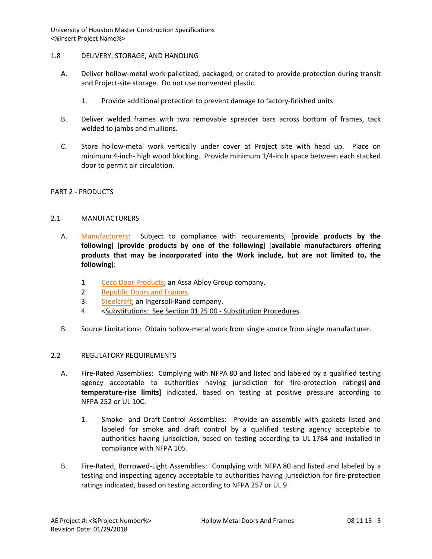## 1.8 DELIVERY, STORAGE, AND HANDLING

- A. Deliver hollow-metal work palletized, packaged, or crated to provide protection during transit and Project-site storage. Do not use nonvented plastic.
	- 1. Provide additional protection to prevent damage to factory-finished units.
- B. Deliver welded frames with two removable spreader bars across bottom of frames, tack welded to jambs and mullions.
- C. Store hollow-metal work vertically under cover at Project site with head up. Place on minimum 4-inch- high wood blocking. Provide minimum 1/4-inch space between each stacked door to permit air circulation.

### PART 2 - PRODUCTS

### 2.1 MANUFACTURERS

- A. [Manufacturers:](http://www.specagent.com/LookUp/?ulid=5745&mf=04&src=wd) Subject to compliance with requirements, [**provide products by the following**] [**provide products by one of the following**] [**available manufacturers offering products that may be incorporated into the Work include, but are not limited to, the following**]:
	- 1. [Ceco Door Products;](http://www.specagent.com/LookUp/?uid=123456827229&mf=04&src=wd) an Assa Abloy Group company.
	- 2. [Republic Doors and Frames.](http://www.specagent.com/LookUp/?uid=123456827258&mf=04&src=wd)
	- 3. [Steelcraft;](http://www.specagent.com/LookUp/?uid=123456827262&mf=04&src=wd) an Ingersoll-Rand company.
	- 4. <Substitutions: See Section 01 25 00 Substitution Procedures.
- B. Source Limitations: Obtain hollow-metal work from single source from single manufacturer.

# 2.2 REGULATORY REQUIREMENTS

- A. Fire-Rated Assemblies: Complying with NFPA 80 and listed and labeled by a qualified testing agency acceptable to authorities having jurisdiction for fire-protection ratings[ **and temperature-rise limits**] indicated, based on testing at positive pressure according to NFPA 252 or UL 10C.
	- 1. Smoke- and Draft-Control Assemblies: Provide an assembly with gaskets listed and labeled for smoke and draft control by a qualified testing agency acceptable to authorities having jurisdiction, based on testing according to UL 1784 and installed in compliance with NFPA 105.
- B. Fire-Rated, Borrowed-Light Assemblies: Complying with NFPA 80 and listed and labeled by a testing and inspecting agency acceptable to authorities having jurisdiction for fire-protection ratings indicated, based on testing according to NFPA 257 or UL 9.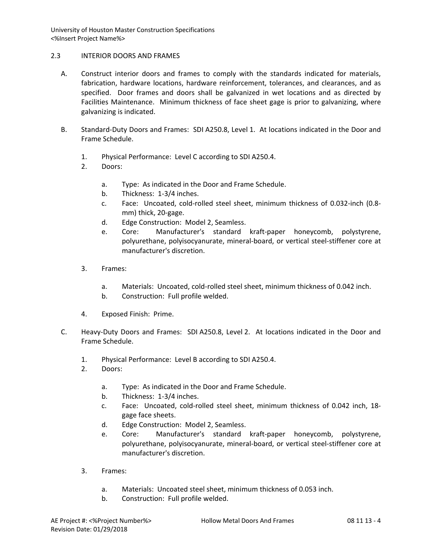# 2.3 INTERIOR DOORS AND FRAMES

- A. Construct interior doors and frames to comply with the standards indicated for materials, fabrication, hardware locations, hardware reinforcement, tolerances, and clearances, and as specified. Door frames and doors shall be galvanized in wet locations and as directed by Facilities Maintenance. Minimum thickness of face sheet gage is prior to galvanizing, where galvanizing is indicated.
- B. Standard-Duty Doors and Frames: SDI A250.8, Level 1. At locations indicated in the Door and Frame Schedule.
	- 1. Physical Performance: Level C according to SDI A250.4.
	- 2. Doors:
		- a. Type: As indicated in the Door and Frame Schedule.
		- b. Thickness: 1-3/4 inches.
		- c. Face: Uncoated, cold-rolled steel sheet, minimum thickness of 0.032-inch (0.8 mm) thick, 20-gage.
		- d. Edge Construction: Model 2, Seamless.
		- e. Core: Manufacturer's standard kraft-paper honeycomb, polystyrene, polyurethane, polyisocyanurate, mineral-board, or vertical steel-stiffener core at manufacturer's discretion.
	- 3. Frames:
		- a. Materials: Uncoated, cold-rolled steel sheet, minimum thickness of 0.042 inch.
		- b. Construction: Full profile welded.
	- 4. Exposed Finish: Prime.
- C. Heavy-Duty Doors and Frames: SDI A250.8, Level 2. At locations indicated in the Door and Frame Schedule.
	- 1. Physical Performance: Level B according to SDI A250.4.
	- 2. Doors:
		- a. Type: As indicated in the Door and Frame Schedule.
		- b. Thickness: 1-3/4 inches.
		- c. Face: Uncoated, cold-rolled steel sheet, minimum thickness of 0.042 inch, 18 gage face sheets.
		- d. Edge Construction: Model 2, Seamless.
		- e. Core: Manufacturer's standard kraft-paper honeycomb, polystyrene, polyurethane, polyisocyanurate, mineral-board, or vertical steel-stiffener core at manufacturer's discretion.
	- 3. Frames:
		- a. Materials: Uncoated steel sheet, minimum thickness of 0.053 inch.
		- b. Construction: Full profile welded.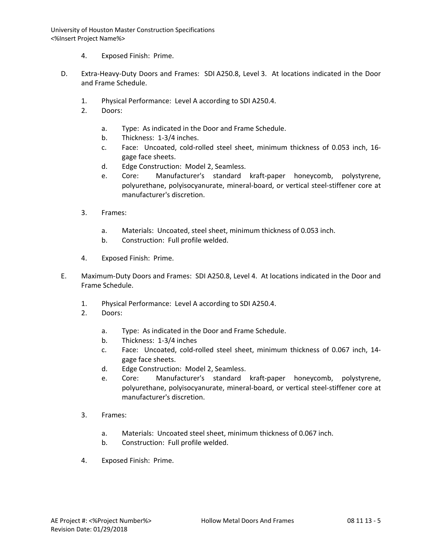- 4. Exposed Finish: Prime.
- D. Extra-Heavy-Duty Doors and Frames: SDI A250.8, Level 3. At locations indicated in the Door and Frame Schedule.
	- 1. Physical Performance: Level A according to SDI A250.4.
	- 2. Doors:
		- a. Type: As indicated in the Door and Frame Schedule.
		- b. Thickness: 1-3/4 inches.
		- c. Face: Uncoated, cold-rolled steel sheet, minimum thickness of 0.053 inch, 16 gage face sheets.
		- d. Edge Construction: Model 2, Seamless.
		- e. Core: Manufacturer's standard kraft-paper honeycomb, polystyrene, polyurethane, polyisocyanurate, mineral-board, or vertical steel-stiffener core at manufacturer's discretion.
	- 3. Frames:
		- a. Materials: Uncoated, steel sheet, minimum thickness of 0.053 inch.
		- b. Construction: Full profile welded.
	- 4. Exposed Finish: Prime.
- E. Maximum-Duty Doors and Frames: SDI A250.8, Level 4. At locations indicated in the Door and Frame Schedule.
	- 1. Physical Performance: Level A according to SDI A250.4.
	- 2. Doors:
		- a. Type: As indicated in the Door and Frame Schedule.
		- b. Thickness: 1-3/4 inches
		- c. Face: Uncoated, cold-rolled steel sheet, minimum thickness of 0.067 inch, 14 gage face sheets.
		- d. Edge Construction: Model 2, Seamless.
		- e. Core: Manufacturer's standard kraft-paper honeycomb, polystyrene, polyurethane, polyisocyanurate, mineral-board, or vertical steel-stiffener core at manufacturer's discretion.
	- 3. Frames:
		- a. Materials: Uncoated steel sheet, minimum thickness of 0.067 inch.
		- b. Construction: Full profile welded.
	- 4. Exposed Finish: Prime.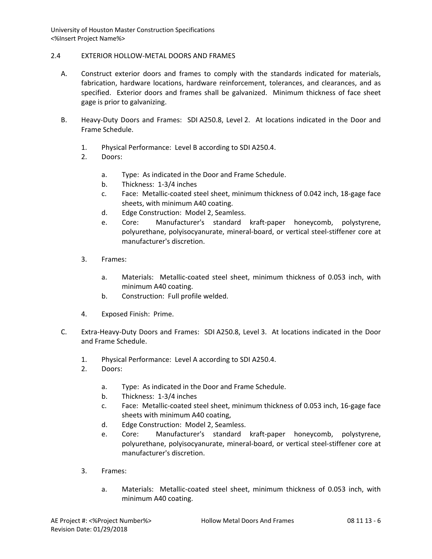### 2.4 EXTERIOR HOLLOW-METAL DOORS AND FRAMES

- A. Construct exterior doors and frames to comply with the standards indicated for materials, fabrication, hardware locations, hardware reinforcement, tolerances, and clearances, and as specified. Exterior doors and frames shall be galvanized. Minimum thickness of face sheet gage is prior to galvanizing.
- B. Heavy-Duty Doors and Frames: SDI A250.8, Level 2. At locations indicated in the Door and Frame Schedule.
	- 1. Physical Performance: Level B according to SDI A250.4.
	- 2. Doors:
		- a. Type: As indicated in the Door and Frame Schedule.
		- b. Thickness: 1-3/4 inches
		- c. Face: Metallic-coated steel sheet, minimum thickness of 0.042 inch, 18-gage face sheets, with minimum A40 coating.
		- d. Edge Construction: Model 2, Seamless.
		- e. Core: Manufacturer's standard kraft-paper honeycomb, polystyrene, polyurethane, polyisocyanurate, mineral-board, or vertical steel-stiffener core at manufacturer's discretion.
	- 3. Frames:
		- a. Materials: Metallic-coated steel sheet, minimum thickness of 0.053 inch, with minimum A40 coating.
		- b. Construction: Full profile welded.
	- 4. Exposed Finish: Prime.
- C. Extra-Heavy-Duty Doors and Frames: SDI A250.8, Level 3. At locations indicated in the Door and Frame Schedule.
	- 1. Physical Performance: Level A according to SDI A250.4.
	- 2. Doors:
		- a. Type: As indicated in the Door and Frame Schedule.
		- b. Thickness: 1-3/4 inches
		- c. Face: Metallic-coated steel sheet, minimum thickness of 0.053 inch, 16-gage face sheets with minimum A40 coating,
		- d. Edge Construction: Model 2, Seamless.
		- e. Core: Manufacturer's standard kraft-paper honeycomb, polystyrene, polyurethane, polyisocyanurate, mineral-board, or vertical steel-stiffener core at manufacturer's discretion.
	- 3. Frames:
		- a. Materials: Metallic-coated steel sheet, minimum thickness of 0.053 inch, with minimum A40 coating.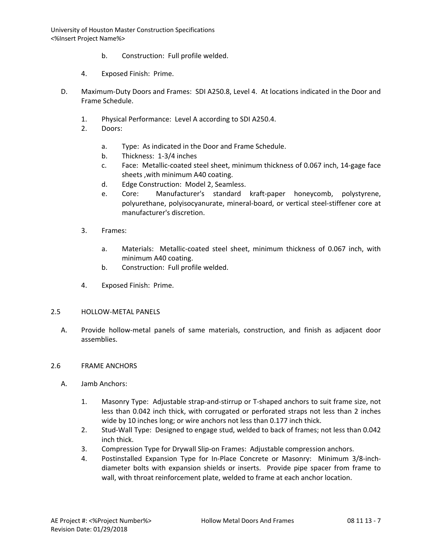- b. Construction: Full profile welded.
- 4. Exposed Finish: Prime.
- D. Maximum-Duty Doors and Frames: SDI A250.8, Level 4. At locations indicated in the Door and Frame Schedule.
	- 1. Physical Performance: Level A according to SDI A250.4.
	- 2. Doors:
		- a. Type: As indicated in the Door and Frame Schedule.
		- b. Thickness: 1-3/4 inches
		- c. Face: Metallic-coated steel sheet, minimum thickness of 0.067 inch, 14-gage face sheets ,with minimum A40 coating.
		- d. Edge Construction: Model 2, Seamless.
		- e. Core: Manufacturer's standard kraft-paper honeycomb, polystyrene, polyurethane, polyisocyanurate, mineral-board, or vertical steel-stiffener core at manufacturer's discretion.
	- 3. Frames:
		- a. Materials: Metallic-coated steel sheet, minimum thickness of 0.067 inch, with minimum A40 coating.
		- b. Construction: Full profile welded.
	- 4. Exposed Finish: Prime.

### 2.5 HOLLOW-METAL PANELS

A. Provide hollow-metal panels of same materials, construction, and finish as adjacent door assemblies.

### 2.6 FRAME ANCHORS

- A. Jamb Anchors:
	- 1. Masonry Type: Adjustable strap-and-stirrup or T-shaped anchors to suit frame size, not less than 0.042 inch thick, with corrugated or perforated straps not less than 2 inches wide by 10 inches long; or wire anchors not less than 0.177 inch thick.
	- 2. Stud-Wall Type: Designed to engage stud, welded to back of frames; not less than 0.042 inch thick.
	- 3. Compression Type for Drywall Slip-on Frames: Adjustable compression anchors.
	- 4. Postinstalled Expansion Type for In-Place Concrete or Masonry: Minimum 3/8-inchdiameter bolts with expansion shields or inserts. Provide pipe spacer from frame to wall, with throat reinforcement plate, welded to frame at each anchor location.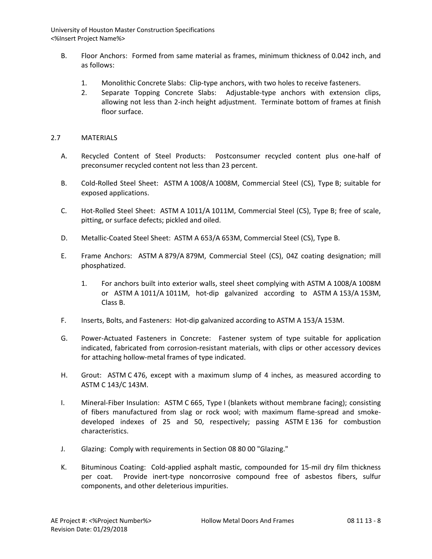- B. Floor Anchors: Formed from same material as frames, minimum thickness of 0.042 inch, and as follows:
	- 1. Monolithic Concrete Slabs: Clip-type anchors, with two holes to receive fasteners.
	- 2. Separate Topping Concrete Slabs: Adjustable-type anchors with extension clips, allowing not less than 2-inch height adjustment. Terminate bottom of frames at finish floor surface.

## 2.7 MATERIALS

- A. Recycled Content of Steel Products: Postconsumer recycled content plus one-half of preconsumer recycled content not less than 23 percent.
- B. Cold-Rolled Steel Sheet: ASTM A 1008/A 1008M, Commercial Steel (CS), Type B; suitable for exposed applications.
- C. Hot-Rolled Steel Sheet: ASTM A 1011/A 1011M, Commercial Steel (CS), Type B; free of scale, pitting, or surface defects; pickled and oiled.
- D. Metallic-Coated Steel Sheet: ASTM A 653/A 653M, Commercial Steel (CS), Type B.
- E. Frame Anchors: ASTM A 879/A 879M, Commercial Steel (CS), 04Z coating designation; mill phosphatized.
	- 1. For anchors built into exterior walls, steel sheet complying with ASTM A 1008/A 1008M or ASTM A 1011/A 1011M, hot-dip galvanized according to ASTM A 153/A 153M, Class B.
- F. Inserts, Bolts, and Fasteners: Hot-dip galvanized according to ASTM A 153/A 153M.
- G. Power-Actuated Fasteners in Concrete: Fastener system of type suitable for application indicated, fabricated from corrosion-resistant materials, with clips or other accessory devices for attaching hollow-metal frames of type indicated.
- H. Grout: ASTM C 476, except with a maximum slump of 4 inches, as measured according to ASTM C 143/C 143M.
- I. Mineral-Fiber Insulation: ASTM C 665, Type I (blankets without membrane facing); consisting of fibers manufactured from slag or rock wool; with maximum flame-spread and smokedeveloped indexes of 25 and 50, respectively; passing ASTM E 136 for combustion characteristics.
- J. Glazing: Comply with requirements in Section 08 80 00 "Glazing."
- K. Bituminous Coating: Cold-applied asphalt mastic, compounded for 15-mil dry film thickness per coat. Provide inert-type noncorrosive compound free of asbestos fibers, sulfur components, and other deleterious impurities.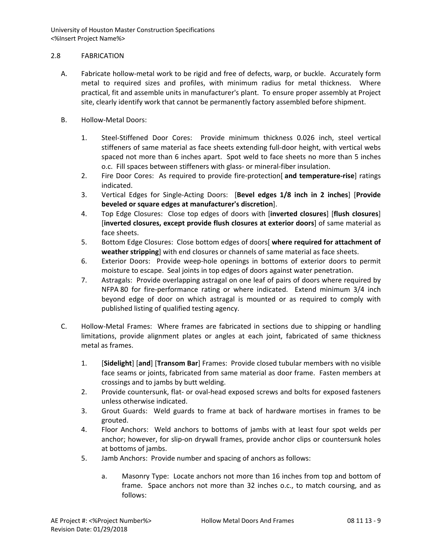# 2.8 FABRICATION

- A. Fabricate hollow-metal work to be rigid and free of defects, warp, or buckle. Accurately form metal to required sizes and profiles, with minimum radius for metal thickness. Where practical, fit and assemble units in manufacturer's plant. To ensure proper assembly at Project site, clearly identify work that cannot be permanently factory assembled before shipment.
- B. Hollow-Metal Doors:
	- 1. Steel-Stiffened Door Cores: Provide minimum thickness 0.026 inch, steel vertical stiffeners of same material as face sheets extending full-door height, with vertical webs spaced not more than 6 inches apart. Spot weld to face sheets no more than 5 inches o.c. Fill spaces between stiffeners with glass- or mineral-fiber insulation.
	- 2. Fire Door Cores: As required to provide fire-protection[ **and temperature-rise**] ratings indicated.
	- 3. Vertical Edges for Single-Acting Doors: [**Bevel edges 1/8 inch in 2 inches**] [**Provide beveled or square edges at manufacturer's discretion**].
	- 4. Top Edge Closures: Close top edges of doors with [**inverted closures**] [**flush closures**] [**inverted closures, except provide flush closures at exterior doors**] of same material as face sheets.
	- 5. Bottom Edge Closures: Close bottom edges of doors[ **where required for attachment of weather stripping**] with end closures or channels of same material as face sheets.
	- 6. Exterior Doors: Provide weep-hole openings in bottoms of exterior doors to permit moisture to escape. Seal joints in top edges of doors against water penetration.
	- 7. Astragals: Provide overlapping astragal on one leaf of pairs of doors where required by NFPA 80 for fire-performance rating or where indicated. Extend minimum 3/4 inch beyond edge of door on which astragal is mounted or as required to comply with published listing of qualified testing agency.
- C. Hollow-Metal Frames: Where frames are fabricated in sections due to shipping or handling limitations, provide alignment plates or angles at each joint, fabricated of same thickness metal as frames.
	- 1. [**Sidelight**] [**and**] [**Transom Bar**] Frames: Provide closed tubular members with no visible face seams or joints, fabricated from same material as door frame. Fasten members at crossings and to jambs by butt welding.
	- 2. Provide countersunk, flat- or oval-head exposed screws and bolts for exposed fasteners unless otherwise indicated.
	- 3. Grout Guards: Weld guards to frame at back of hardware mortises in frames to be grouted.
	- 4. Floor Anchors: Weld anchors to bottoms of jambs with at least four spot welds per anchor; however, for slip-on drywall frames, provide anchor clips or countersunk holes at bottoms of jambs.
	- 5. Jamb Anchors: Provide number and spacing of anchors as follows:
		- a. Masonry Type: Locate anchors not more than 16 inches from top and bottom of frame. Space anchors not more than 32 inches o.c., to match coursing, and as follows: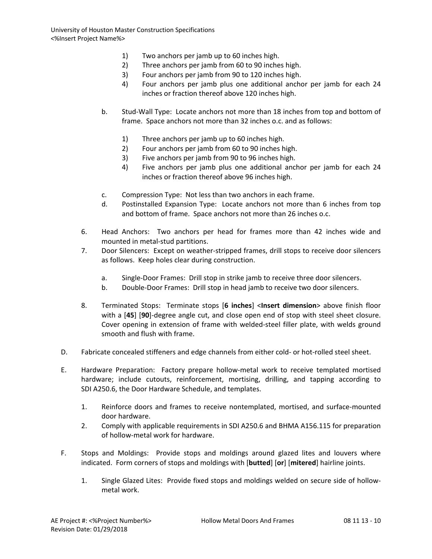- 1) Two anchors per jamb up to 60 inches high.
- 2) Three anchors per jamb from 60 to 90 inches high.
- 3) Four anchors per jamb from 90 to 120 inches high.
- 4) Four anchors per jamb plus one additional anchor per jamb for each 24 inches or fraction thereof above 120 inches high.
- b. Stud-Wall Type: Locate anchors not more than 18 inches from top and bottom of frame. Space anchors not more than 32 inches o.c. and as follows:
	- 1) Three anchors per jamb up to 60 inches high.
	- 2) Four anchors per jamb from 60 to 90 inches high.
	- 3) Five anchors per jamb from 90 to 96 inches high.
	- 4) Five anchors per jamb plus one additional anchor per jamb for each 24 inches or fraction thereof above 96 inches high.
- c. Compression Type: Not less than two anchors in each frame.
- d. Postinstalled Expansion Type: Locate anchors not more than 6 inches from top and bottom of frame. Space anchors not more than 26 inches o.c.
- 6. Head Anchors: Two anchors per head for frames more than 42 inches wide and mounted in metal-stud partitions.
- 7. Door Silencers: Except on weather-stripped frames, drill stops to receive door silencers as follows. Keep holes clear during construction.
	- a. Single-Door Frames: Drill stop in strike jamb to receive three door silencers.
	- b. Double-Door Frames: Drill stop in head jamb to receive two door silencers.
- 8. Terminated Stops: Terminate stops [**6 inches**] <**Insert dimension**> above finish floor with a [**45**] [**90**]-degree angle cut, and close open end of stop with steel sheet closure. Cover opening in extension of frame with welded-steel filler plate, with welds ground smooth and flush with frame.
- D. Fabricate concealed stiffeners and edge channels from either cold- or hot-rolled steel sheet.
- E. Hardware Preparation: Factory prepare hollow-metal work to receive templated mortised hardware; include cutouts, reinforcement, mortising, drilling, and tapping according to SDI A250.6, the Door Hardware Schedule, and templates.
	- 1. Reinforce doors and frames to receive nontemplated, mortised, and surface-mounted door hardware.
	- 2. Comply with applicable requirements in SDI A250.6 and BHMA A156.115 for preparation of hollow-metal work for hardware.
- F. Stops and Moldings: Provide stops and moldings around glazed lites and louvers where indicated. Form corners of stops and moldings with [**butted**] [**or**] [**mitered**] hairline joints.
	- 1. Single Glazed Lites: Provide fixed stops and moldings welded on secure side of hollowmetal work.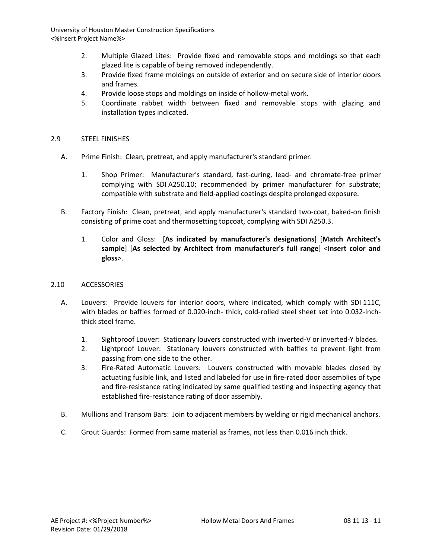- 2. Multiple Glazed Lites: Provide fixed and removable stops and moldings so that each glazed lite is capable of being removed independently.
- 3. Provide fixed frame moldings on outside of exterior and on secure side of interior doors and frames.
- 4. Provide loose stops and moldings on inside of hollow-metal work.
- 5. Coordinate rabbet width between fixed and removable stops with glazing and installation types indicated.

# 2.9 STEEL FINISHES

- A. Prime Finish: Clean, pretreat, and apply manufacturer's standard primer.
	- 1. Shop Primer: Manufacturer's standard, fast-curing, lead- and chromate-free primer complying with SDI A250.10; recommended by primer manufacturer for substrate; compatible with substrate and field-applied coatings despite prolonged exposure.
- B. Factory Finish: Clean, pretreat, and apply manufacturer's standard two-coat, baked-on finish consisting of prime coat and thermosetting topcoat, complying with SDI A250.3.
	- 1. Color and Gloss: [**As indicated by manufacturer's designations**] [**Match Architect's sample**] [**As selected by Architect from manufacturer's full range**] <**Insert color and gloss**>.

# 2.10 ACCESSORIES

- A. Louvers: Provide louvers for interior doors, where indicated, which comply with SDI 111C, with blades or baffles formed of 0.020-inch- thick, cold-rolled steel sheet set into 0.032-inchthick steel frame.
	- 1. Sightproof Louver: Stationary louvers constructed with inverted-V or inverted-Y blades.
	- 2. Lightproof Louver: Stationary louvers constructed with baffles to prevent light from passing from one side to the other.
	- 3. Fire-Rated Automatic Louvers: Louvers constructed with movable blades closed by actuating fusible link, and listed and labeled for use in fire-rated door assemblies of type and fire-resistance rating indicated by same qualified testing and inspecting agency that established fire-resistance rating of door assembly.
- B. Mullions and Transom Bars: Join to adjacent members by welding or rigid mechanical anchors.
- C. Grout Guards: Formed from same material as frames, not less than 0.016 inch thick.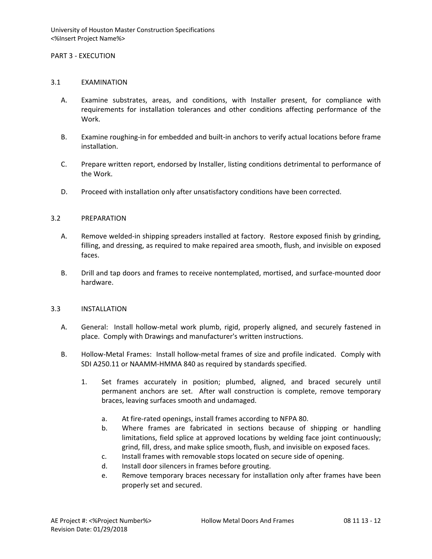### PART 3 - EXECUTION

### 3.1 EXAMINATION

- A. Examine substrates, areas, and conditions, with Installer present, for compliance with requirements for installation tolerances and other conditions affecting performance of the Work.
- B. Examine roughing-in for embedded and built-in anchors to verify actual locations before frame installation.
- C. Prepare written report, endorsed by Installer, listing conditions detrimental to performance of the Work.
- D. Proceed with installation only after unsatisfactory conditions have been corrected.

### 3.2 PREPARATION

- A. Remove welded-in shipping spreaders installed at factory. Restore exposed finish by grinding, filling, and dressing, as required to make repaired area smooth, flush, and invisible on exposed faces.
- B. Drill and tap doors and frames to receive nontemplated, mortised, and surface-mounted door hardware.

### 3.3 INSTALLATION

- A. General: Install hollow-metal work plumb, rigid, properly aligned, and securely fastened in place. Comply with Drawings and manufacturer's written instructions.
- B. Hollow-Metal Frames: Install hollow-metal frames of size and profile indicated. Comply with SDI A250.11 or NAAMM-HMMA 840 as required by standards specified.
	- 1. Set frames accurately in position; plumbed, aligned, and braced securely until permanent anchors are set. After wall construction is complete, remove temporary braces, leaving surfaces smooth and undamaged.
		- a. At fire-rated openings, install frames according to NFPA 80.
		- b. Where frames are fabricated in sections because of shipping or handling limitations, field splice at approved locations by welding face joint continuously; grind, fill, dress, and make splice smooth, flush, and invisible on exposed faces.
		- c. Install frames with removable stops located on secure side of opening.
		- d. Install door silencers in frames before grouting.
		- e. Remove temporary braces necessary for installation only after frames have been properly set and secured.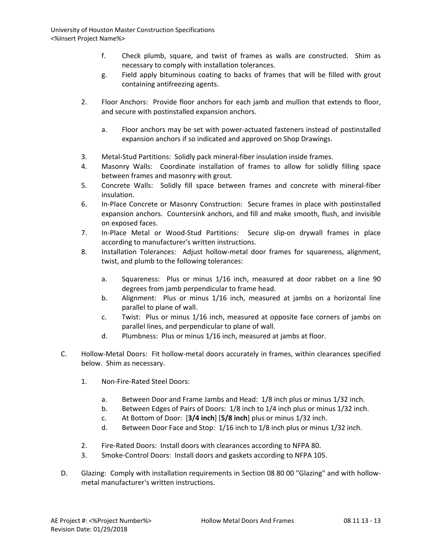- f. Check plumb, square, and twist of frames as walls are constructed. Shim as necessary to comply with installation tolerances.
- g. Field apply bituminous coating to backs of frames that will be filled with grout containing antifreezing agents.
- 2. Floor Anchors: Provide floor anchors for each jamb and mullion that extends to floor, and secure with postinstalled expansion anchors.
	- a. Floor anchors may be set with power-actuated fasteners instead of postinstalled expansion anchors if so indicated and approved on Shop Drawings.
- 3. Metal-Stud Partitions: Solidly pack mineral-fiber insulation inside frames.
- 4. Masonry Walls: Coordinate installation of frames to allow for solidly filling space between frames and masonry with grout.
- 5. Concrete Walls: Solidly fill space between frames and concrete with mineral-fiber insulation.
- 6. In-Place Concrete or Masonry Construction: Secure frames in place with postinstalled expansion anchors. Countersink anchors, and fill and make smooth, flush, and invisible on exposed faces.
- 7. In-Place Metal or Wood-Stud Partitions: Secure slip-on drywall frames in place according to manufacturer's written instructions.
- 8. Installation Tolerances: Adjust hollow-metal door frames for squareness, alignment, twist, and plumb to the following tolerances:
	- a. Squareness: Plus or minus 1/16 inch, measured at door rabbet on a line 90 degrees from jamb perpendicular to frame head.
	- b. Alignment: Plus or minus 1/16 inch, measured at jambs on a horizontal line parallel to plane of wall.
	- c. Twist: Plus or minus 1/16 inch, measured at opposite face corners of jambs on parallel lines, and perpendicular to plane of wall.
	- d. Plumbness: Plus or minus 1/16 inch, measured at jambs at floor.
- C. Hollow-Metal Doors: Fit hollow-metal doors accurately in frames, within clearances specified below. Shim as necessary.
	- 1. Non-Fire-Rated Steel Doors:
		- a. Between Door and Frame Jambs and Head: 1/8 inch plus or minus 1/32 inch.
		- b. Between Edges of Pairs of Doors: 1/8 inch to 1/4 inch plus or minus 1/32 inch.
		- c. At Bottom of Door: [**3/4 inch**] [**5/8 inch**] plus or minus 1/32 inch.
		- d. Between Door Face and Stop: 1/16 inch to 1/8 inch plus or minus 1/32 inch.
	- 2. Fire-Rated Doors: Install doors with clearances according to NFPA 80.
	- 3. Smoke-Control Doors: Install doors and gaskets according to NFPA 105.
- D. Glazing: Comply with installation requirements in Section 08 80 00 "Glazing" and with hollowmetal manufacturer's written instructions.